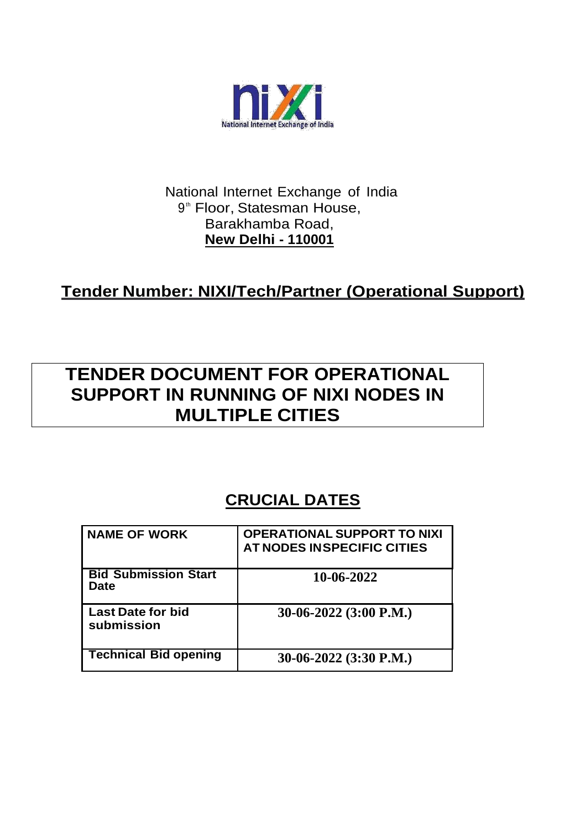

#### National Internet Exchange of India 9<sup>th</sup> Floor, Statesman House, Barakhamba Road, **New Delhi - 110001**

## **Tender Number: NIXI/Tech/Partner (Operational Support)**

# **TENDER DOCUMENT FOR OPERATIONAL SUPPORT IN RUNNING OF NIXI NODES IN MULTIPLE CITIES**

## **CRUCIAL DATES**

| <b>NAME OF WORK</b>                    | <b>OPERATIONAL SUPPORT TO NIXI</b><br>AT NODES IN SPECIFIC CITIES |
|----------------------------------------|-------------------------------------------------------------------|
| <b>Bid Submission Start</b><br>Date    | 10-06-2022                                                        |
| <b>Last Date for bid</b><br>submission | 30-06-2022 $(3:00 P.M.)$                                          |
| <b>Technical Bid opening</b>           | 30-06-2022 $(3:30 \text{ P.M.})$                                  |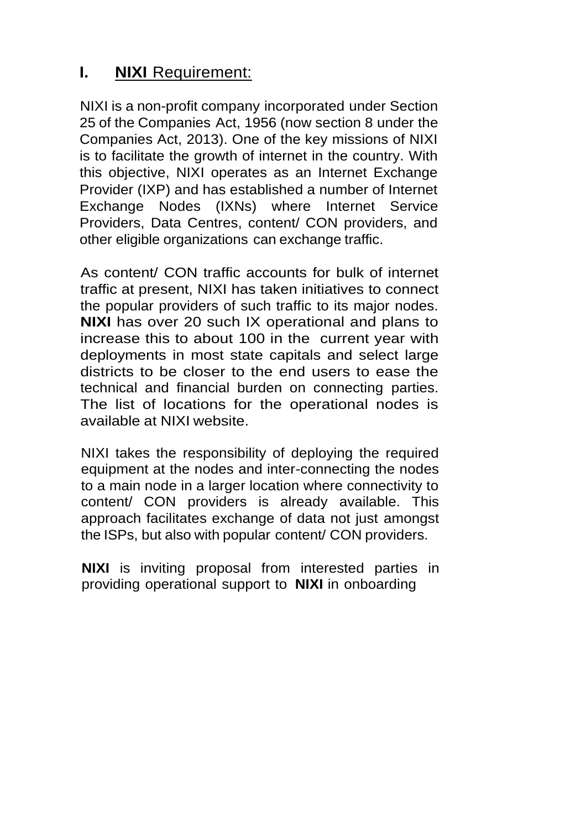## **I. NIXI** Requirement:

NIXI is a non-profit company incorporated under Section 25 of the Companies Act, 1956 (now section 8 under the Companies Act, 2013). One of the key missions of NIXI is to facilitate the growth of internet in the country. With this objective, NIXI operates as an Internet Exchange Provider (IXP) and has established a number of Internet Exchange Nodes (IXNs) where Internet Service Providers, Data Centres, content/ CON providers, and other eligible organizations can exchange traffic.

As content/ CON traffic accounts for bulk of internet traffic at present, NIXI has taken initiatives to connect the popular providers of such traffic to its major nodes. **NIXI** has over 20 such IX operational and plans to increase this to about 100 in the current year with deployments in most state capitals and select large districts to be closer to the end users to ease the technical and financial burden on connecting parties. The list of locations for the operational nodes is available at NIXI website.

NIXI takes the responsibility of deploying the required equipment at the nodes and inter-connecting the nodes to a main node in a larger location where connectivity to content/ CON providers is already available. This approach facilitates exchange of data not just amongst the ISPs, but also with popular content/ CON providers.

**NIXI** is inviting proposal from interested parties in providing operational support to **NIXI** in onboarding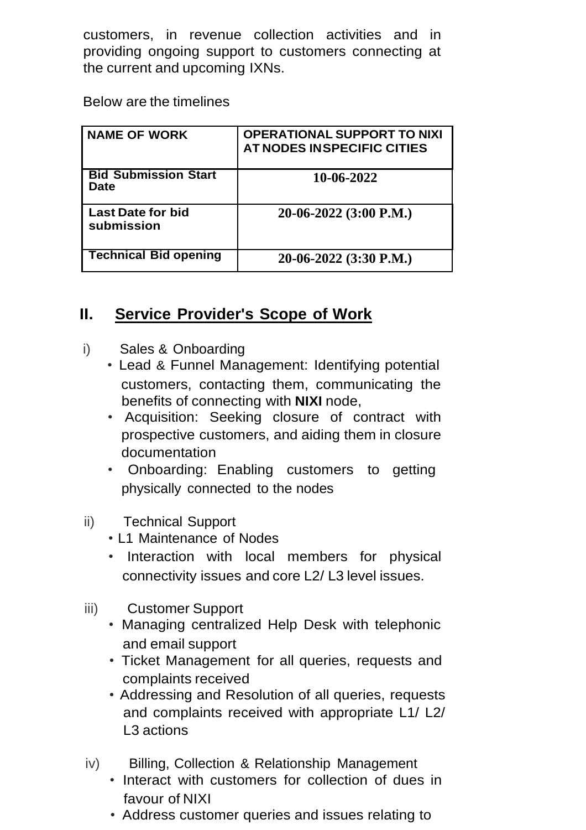customers, in revenue collection activities and in providing ongoing support to customers connecting at the current and upcoming IXNs.

Below are the timelines

| <b>NAME OF WORK</b>                        | <b>OPERATIONAL SUPPORT TO NIXI</b><br>AT NODES IN SPECIFIC CITIES |
|--------------------------------------------|-------------------------------------------------------------------|
| <b>Bid Submission Start</b><br><b>Date</b> | 10-06-2022                                                        |
| <b>Last Date for bid</b><br>submission     | $20-06-2022$ (3:00 P.M.)                                          |
| <b>Technical Bid opening</b>               | 20-06-2022 (3:30 P.M.)                                            |

## **II. Service Provider's Scope of Work**

- i) Sales & Onboarding
	- Lead & Funnel Management: Identifying potential customers, contacting them, communicating the benefits of connecting with **NIXI** node,
	- Acquisition: Seeking closure of contract with prospective customers, and aiding them in closure documentation
	- Onboarding: Enabling customers to getting physically connected to the nodes
- ii) Technical Support
	- L1 Maintenance of Nodes
	- Interaction with local members for physical connectivity issues and core L2/ L3 level issues.
- iii) Customer Support
	- Managing centralized Help Desk with telephonic and email support
	- Ticket Management for all queries, requests and complaints received
	- Addressing and Resolution of all queries, requests and complaints received with appropriate L1/ L2/ L3 actions
- iv) Billing, Collection & Relationship Management
	- Interact with customers for collection of dues in favour of NIXI
	- Address customer queries and issues relating to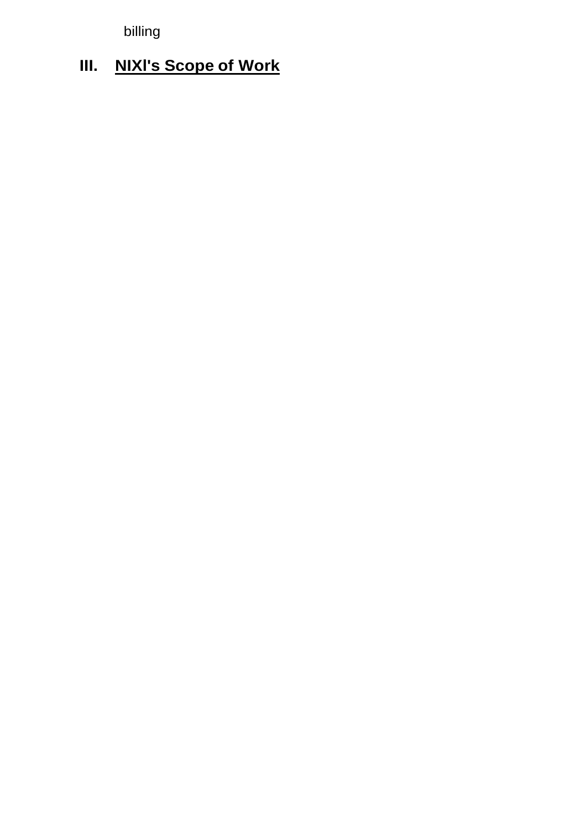billing

# **III. NIXl's Scope of Work**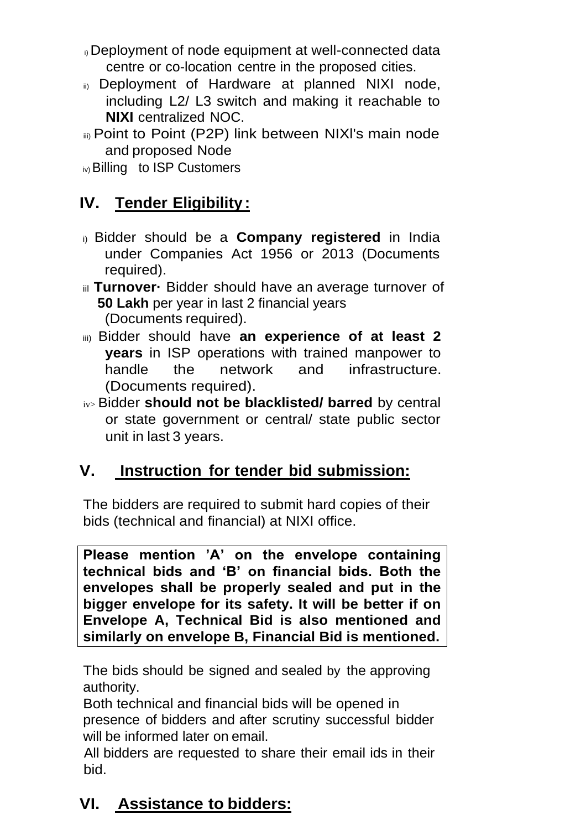- i) Deployment of node equipment at well-connected data centre or co-location centre in the proposed cities.
- ii) Deployment of Hardware at planned NIXI node, including L2/ L3 switch and making it reachable to **NIXI** centralized NOC.
- iii) Point to Point (P2P) link between NIXl's main node and proposed Node

iv) Billing to ISP Customers

## **IV. Tender Eligibility:**

- i) Bidder should be a **Company registered** in India under Companies Act 1956 or 2013 (Documents required).
- iil Turnover · Bidder should have an average turnover of **50 Lakh** per year in last 2 financial years (Documents required).
- iii) Bidder should have **an experience of at least 2 years** in ISP operations with trained manpower to handle the network and infrastructure. (Documents required).
- iv> Bidder **should not be blacklisted/ barred** by central or state government or central/ state public sector unit in last 3 years.

## **V. Instruction for tender bid submission:**

The bidders are required to submit hard copies of their bids (technical and financial) at NIXI office.

**Please mention 'A' on the envelope containing technical bids and 'B' on financial bids. Both the envelopes shall be properly sealed and put in the bigger envelope for its safety. It will be better if on Envelope A, Technical Bid is also mentioned and similarly on envelope B, Financial Bid is mentioned.** 

The bids should be signed and sealed by the approving authority.

Both technical and financial bids will be opened in presence of bidders and after scrutiny successful bidder will be informed later on email.

All bidders are requested to share their email ids in their bid.

# **VI. Assistance to bidders:**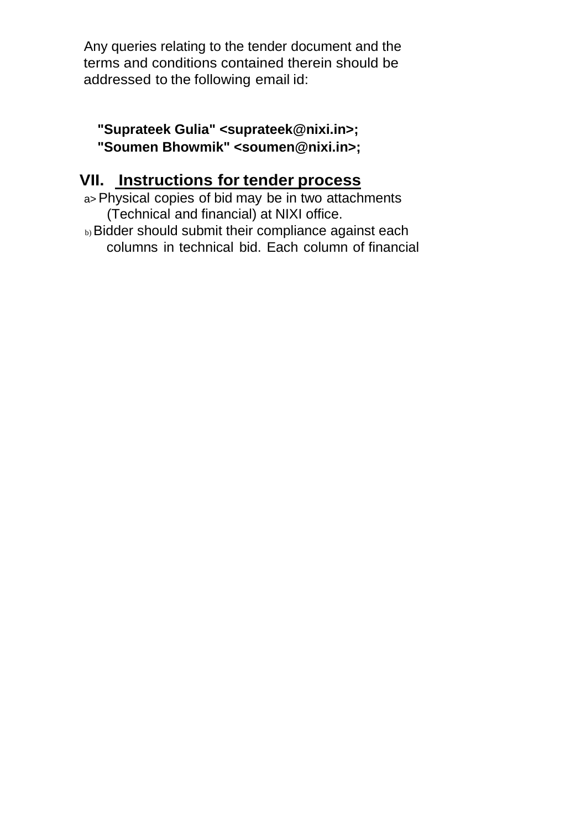Any queries relating to the tender document and the terms and conditions contained therein should be addressed to the following email id:

#### **"Suprateek Gulia" <suprateek@nixi.in>; "Soumen Bhowmik" <soumen@nixi.in>;**

## **VII. Instructions for tender process**

a>Physical copies of bid may be in two attachments (Technical and financial) at NIXI office.

b) Bidder should submit their compliance against each columns in technical bid. Each column of financial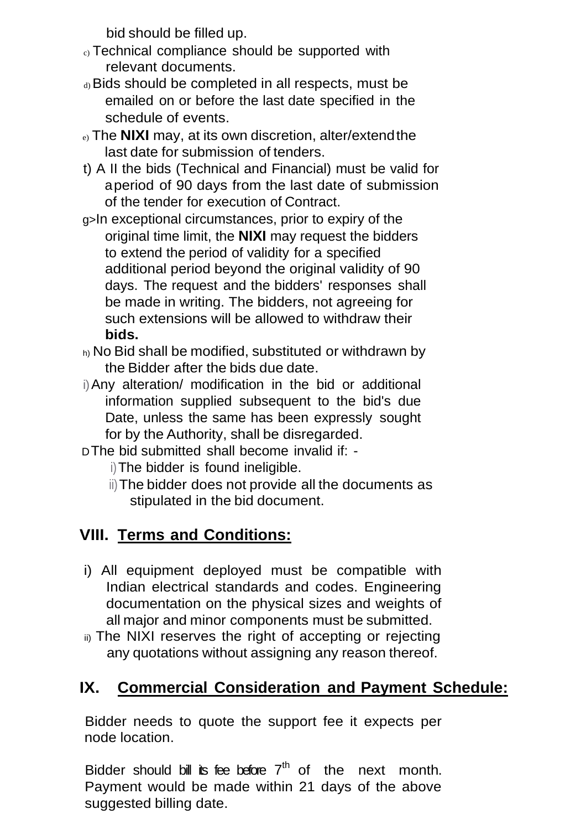bid should be filled up.

- c) Technical compliance should be supported with relevant documents.
- d) Bids should be completed in all respects, must be emailed on or before the last date specified in the schedule of events.
- e) The **NIXI** may, at its own discretion, alter/extendthe last date for submission of tenders.
- t) A II the bids (Technical and Financial) must be valid for aperiod of 90 days from the last date of submission of the tender for execution of Contract.
- g>In exceptional circumstances, prior to expiry of the original time limit, the **NIXI** may request the bidders to extend the period of validity for a specified additional period beyond the original validity of 90 days. The request and the bidders' responses shall be made in writing. The bidders, not agreeing for such extensions will be allowed to withdraw their **bids.**
- h) No Bid shall be modified, substituted or withdrawn by the Bidder after the bids due date.
- i)Any alteration/ modification in the bid or additional information supplied subsequent to the bid's due Date, unless the same has been expressly sought for by the Authority, shall be disregarded.
- DThe bid submitted shall become invalid if:
	- i)The bidder is found ineligible.
	- ii)The bidder does not provide all the documents as stipulated in the bid document.

## **VIII. Terms and Conditions:**

- i) All equipment deployed must be compatible with Indian electrical standards and codes. Engineering documentation on the physical sizes and weights of all major and minor components must be submitted.
- ii) The NIXI reserves the right of accepting or rejecting any quotations without assigning any reason thereof.

# **IX. Commercial Consideration and Payment Schedule:**

Bidder needs to quote the support fee it expects per node location.

Bidder should bill its fee before  $7<sup>th</sup>$  of the next month. Payment would be made within 21 days of the above suggested billing date.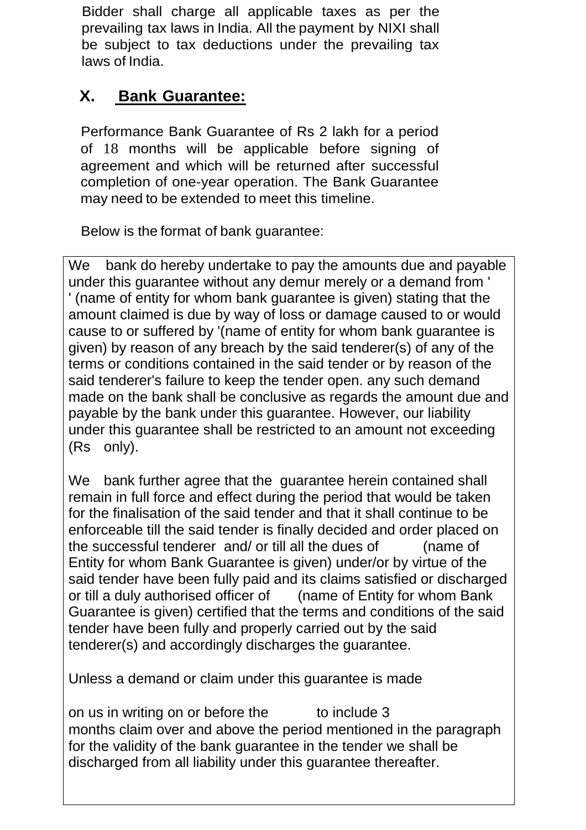Bidder shall charge all applicable taxes as per the prevailing tax laws in India. All the payment by NIXI shall be subject to tax deductions under the prevailing tax laws of India.

## **X. Bank Guarantee:**

Performance Bank Guarantee of Rs 2 lakh for a period of 18 months will be applicable before signing of agreement and which will be returned after successful completion of one-year operation. The Bank Guarantee may need to be extended to meet this timeline.

Below is the format of bank guarantee:

We bank do hereby undertake to pay the amounts due and payable under this guarantee without any demur merely or a demand from ' ' (name of entity for whom bank guarantee is given) stating that the amount claimed is due by way of loss or damage caused to or would cause to or suffered by '(name of entity for whom bank guarantee is given) by reason of any breach by the said tenderer(s) of any of the terms or conditions contained in the said tender or by reason of the said tenderer's failure to keep the tender open. any such demand made on the bank shall be conclusive as regards the amount due and payable by the bank under this guarantee. However, our liability under this guarantee shall be restricted to an amount not exceeding (Rs only).

We bank further agree that the guarantee herein contained shall remain in full force and effect during the period that would be taken for the finalisation of the said tender and that it shall continue to be enforceable till the said tender is finally decided and order placed on the successful tenderer and/ or till all the dues of (name of Entity for whom Bank Guarantee is given) under/or by virtue of the said tender have been fully paid and its claims satisfied or discharged or till a duly authorised officer of (name of Entity for whom Bank Guarantee is given) certified that the terms and conditions of the said tender have been fully and properly carried out by the said tenderer(s) and accordingly discharges the guarantee.

Unless a demand or claim under this guarantee is made

on us in writing on or before the to include 3 months claim over and above the period mentioned in the paragraph for the validity of the bank guarantee in the tender we shall be discharged from all liability under this guarantee thereafter.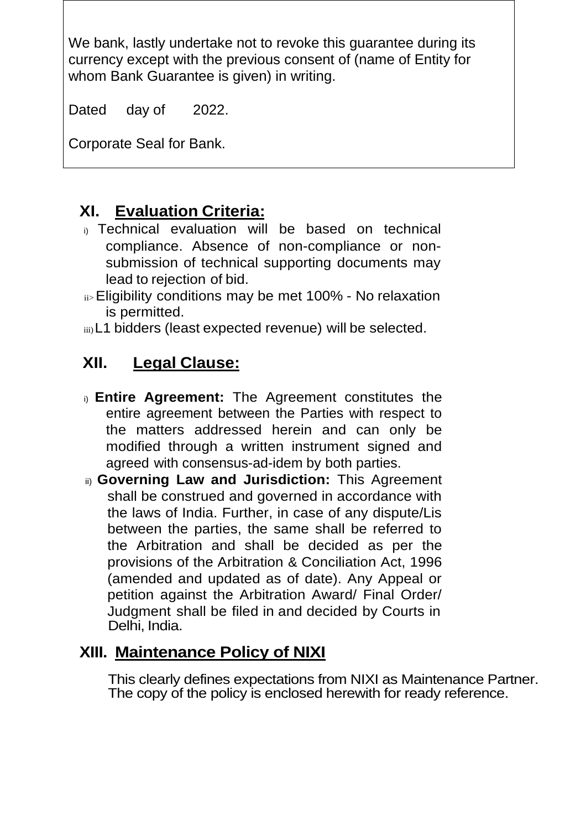We bank, lastly undertake not to revoke this guarantee during its currency except with the previous consent of (name of Entity for whom Bank Guarantee is given) in writing.

Dated day of 2022.

Corporate Seal for Bank.

## **XI. Evaluation Criteria:**

- i) Technical evaluation will be based on technical compliance. Absence of non-compliance or nonsubmission of technical supporting documents may lead to rejection of bid.
- ii>Eligibility conditions may be met 100% No relaxation is permitted.
- iii)L1 bidders (least expected revenue) will be selected.

## **XII. Legal Clause:**

- i) **Entire Agreement:** The Agreement constitutes the entire agreement between the Parties with respect to the matters addressed herein and can only be modified through a written instrument signed and agreed with consensus-ad-idem by both parties.
- ii) **Governing Law and Jurisdiction:** This Agreement shall be construed and governed in accordance with the laws of India. Further, in case of any dispute/Lis between the parties, the same shall be referred to the Arbitration and shall be decided as per the provisions of the Arbitration & Conciliation Act, 1996 (amended and updated as of date). Any Appeal or petition against the Arbitration Award/ Final Order/ Judgment shall be filed in and decided by Courts in Delhi, India.

## **XIII. Maintenance Policy of NIXI**

This clearly defines expectations from NIXI as Maintenance Partner. The copy of the policy is enclosed herewith for ready reference.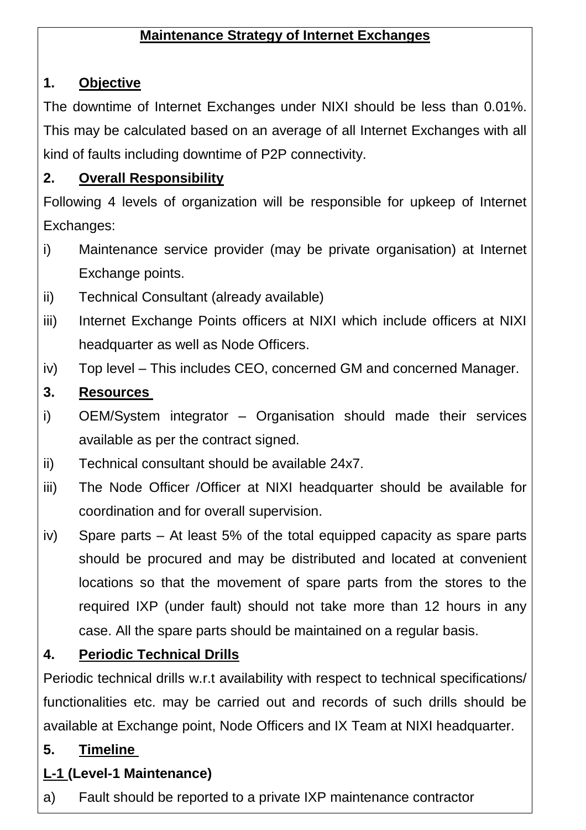### **Maintenance Strategy of Internet Exchanges**

#### **1. Objective**

The downtime of Internet Exchanges under NIXI should be less than 0.01%. This may be calculated based on an average of all Internet Exchanges with all kind of faults including downtime of P2P connectivity.

### **2. Overall Responsibility**

Following 4 levels of organization will be responsible for upkeep of Internet Exchanges:

- i) Maintenance service provider (may be private organisation) at Internet Exchange points.
- ii) Technical Consultant (already available)
- iii) Internet Exchange Points officers at NIXI which include officers at NIXI headquarter as well as Node Officers.
- iv) Top level This includes CEO, concerned GM and concerned Manager.

### **3. Resources**

- i) OEM/System integrator Organisation should made their services available as per the contract signed.
- ii) Technical consultant should be available 24x7.
- iii) The Node Officer /Officer at NIXI headquarter should be available for coordination and for overall supervision.
- iv) Spare parts At least 5% of the total equipped capacity as spare parts should be procured and may be distributed and located at convenient locations so that the movement of spare parts from the stores to the required IXP (under fault) should not take more than 12 hours in any case. All the spare parts should be maintained on a regular basis.

### **4. Periodic Technical Drills**

Periodic technical drills w.r.t availability with respect to technical specifications/ functionalities etc. may be carried out and records of such drills should be available at Exchange point, Node Officers and IX Team at NIXI headquarter.

### **5. Timeline**

### **L-1 (Level-1 Maintenance)**

a) Fault should be reported to a private IXP maintenance contractor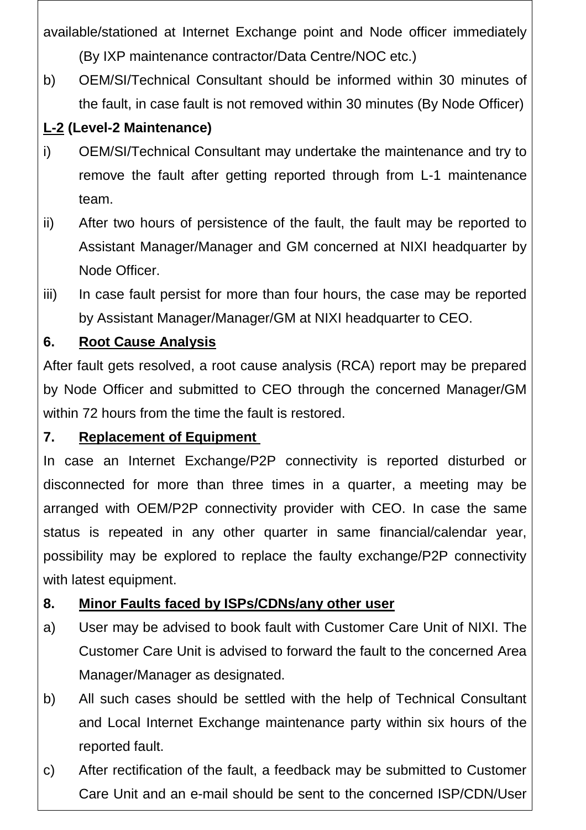available/stationed at Internet Exchange point and Node officer immediately (By IXP maintenance contractor/Data Centre/NOC etc.)

b) OEM/SI/Technical Consultant should be informed within 30 minutes of the fault, in case fault is not removed within 30 minutes (By Node Officer)

## **L-2 (Level-2 Maintenance)**

- i) OEM/SI/Technical Consultant may undertake the maintenance and try to remove the fault after getting reported through from L-1 maintenance team.
- ii) After two hours of persistence of the fault, the fault may be reported to Assistant Manager/Manager and GM concerned at NIXI headquarter by Node Officer.
- iii) In case fault persist for more than four hours, the case may be reported by Assistant Manager/Manager/GM at NIXI headquarter to CEO.

## **6. Root Cause Analysis**

After fault gets resolved, a root cause analysis (RCA) report may be prepared by Node Officer and submitted to CEO through the concerned Manager/GM within 72 hours from the time the fault is restored.

### **7. Replacement of Equipment**

In case an Internet Exchange/P2P connectivity is reported disturbed or disconnected for more than three times in a quarter, a meeting may be arranged with OEM/P2P connectivity provider with CEO. In case the same status is repeated in any other quarter in same financial/calendar year, possibility may be explored to replace the faulty exchange/P2P connectivity with latest equipment.

### **8. Minor Faults faced by ISPs/CDNs/any other user**

- a) User may be advised to book fault with Customer Care Unit of NIXI. The Customer Care Unit is advised to forward the fault to the concerned Area Manager/Manager as designated.
- b) All such cases should be settled with the help of Technical Consultant and Local Internet Exchange maintenance party within six hours of the reported fault.
- c) After rectification of the fault, a feedback may be submitted to Customer Care Unit and an e-mail should be sent to the concerned ISP/CDN/User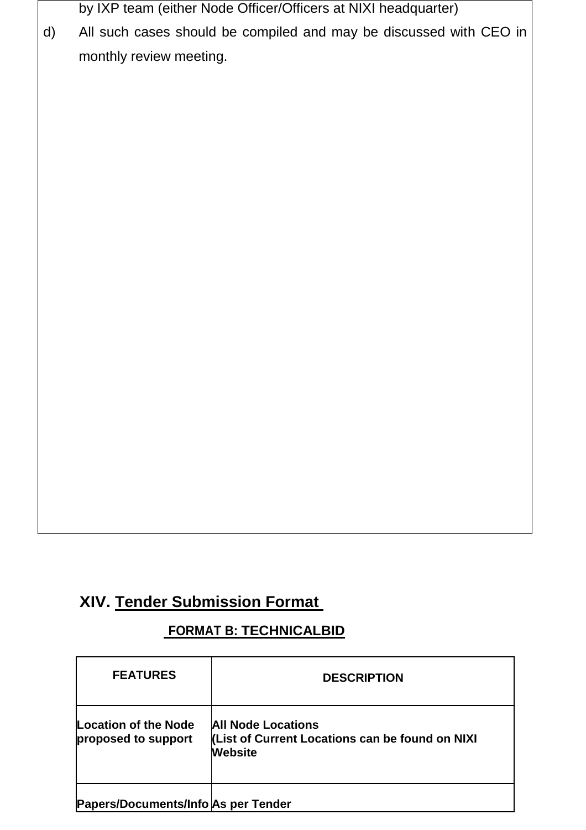by IXP team (either Node Officer/Officers at NIXI headquarter)

d) All such cases should be compiled and may be discussed with CEO in monthly review meeting.

## **XIV. Tender Submission Format**

#### **FORMAT B: TECHNICALBID**

| <b>FEATURES</b>                             | <b>DESCRIPTION</b>                                                                             |
|---------------------------------------------|------------------------------------------------------------------------------------------------|
| Location of the Node<br>proposed to support | <b>All Node Locations</b><br>(List of Current Locations can be found on NIXI<br><b>Website</b> |
| Papers/Documents/Info As per Tender         |                                                                                                |